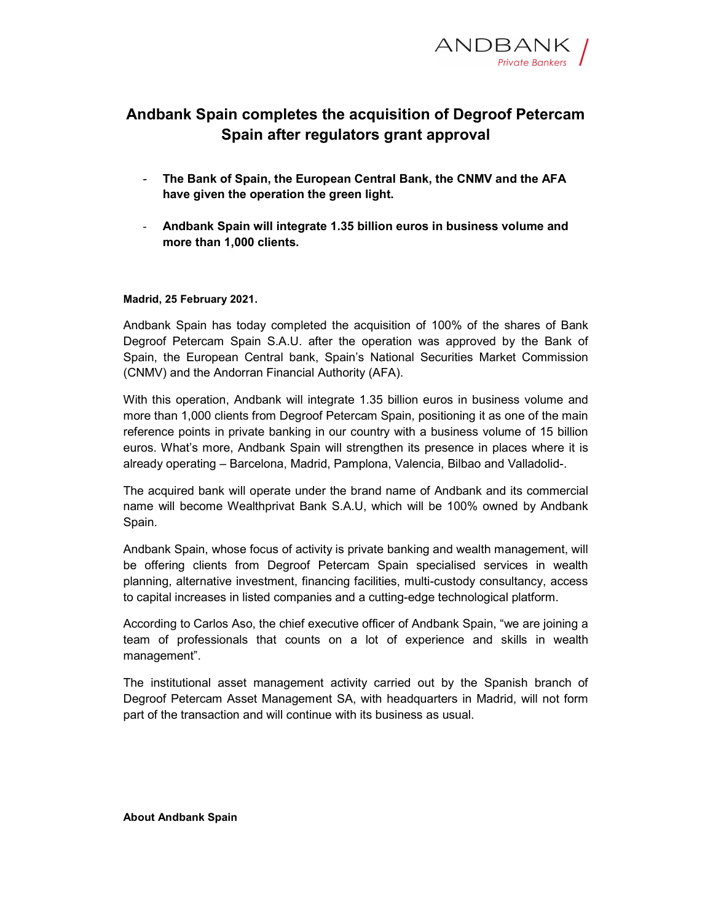

## Andbank Spain completes the acquisition of Degroof Petercam Spain after regulators grant approval

- The Bank of Spain, the European Central Bank, the CNMV and the AFA have given the operation the green light.
- Andbank Spain will integrate 1.35 billion euros in business volume and more than 1,000 clients.

## Madrid, 25 February 2021.

Andbank Spain has today completed the acquisition of 100% of the shares of Bank Degroof Petercam Spain S.A.U. after the operation was approved by the Bank of Spain, the European Central bank, Spain's National Securities Market Commission (CNMV) and the Andorran Financial Authority (AFA).

With this operation, Andbank will integrate 1.35 billion euros in business volume and more than 1,000 clients from Degroof Petercam Spain, positioning it as one of the main reference points in private banking in our country with a business volume of 15 billion euros. What's more, Andbank Spain will strengthen its presence in places where it is already operating – Barcelona, Madrid, Pamplona, Valencia, Bilbao and Valladolid-.

The acquired bank will operate under the brand name of Andbank and its commercial name will become Wealthprivat Bank S.A.U, which will be 100% owned by Andbank Spain.

Andbank Spain, whose focus of activity is private banking and wealth management, will be offering clients from Degroof Petercam Spain specialised services in wealth planning, alternative investment, financing facilities, multi-custody consultancy, access to capital increases in listed companies and a cutting-edge technological platform.

According to Carlos Aso, the chief executive officer of Andbank Spain, "we are joining a team of professionals that counts on a lot of experience and skills in wealth management".

The institutional asset management activity carried out by the Spanish branch of Degroof Petercam Asset Management SA, with headquarters in Madrid, will not form part of the transaction and will continue with its business as usual.

About Andbank Spain